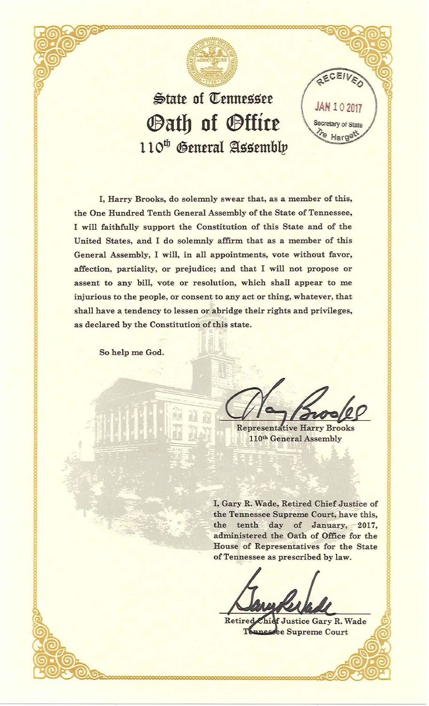

## State of Tennessee (JAN 102017 *Sath of Stfire*  $110^{th}$  General Assembly

I, Harry Brooks, do solemnly swear that, as a member of this, the One Hundred Tenth General Assembly of the State of Tennessee, I will faithfully support the Constitution of this State and of the United States, and I do solemnly affirm that as a member of this General Assembly, I will, in all appointments, vote without favor, affection, partiality, or prejudice; and that I will not propose or assent to any bill, vote or resolution, which shall appear to me injurious to the people, or consent to any act or thing, whatever, that shall have a tendency to lessen or abridge their rights and privileges, as declared by the Constitution of this state.

So help me God.

 $H$ ard

RECEIL

**Representative Harry Brooks** 110<sup>th</sup> General Assembly

I, Gary R. Wade, Retired Chief Justice of the Tennessee Supreme Court, have this, the tenth day of January, 2017, administered the Oath of Office for the House of Representatives for the State of Tennessee as prescribed by law.

Retired f Justice Gary R. Wade unessee Supreme Court